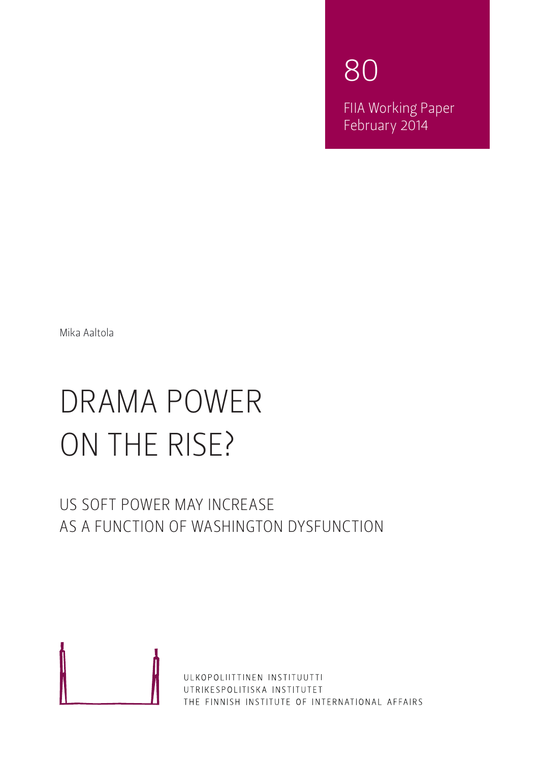80 FIIA Working Paper February 2014

Mika Aaltola

# Drama power on the rise?

## US soft power may increase as a function of Washington dysfunction



ULKOPOLIITTINEN INSTITUUTTI UTRIKESPOLITISKA INSTITUTET THE FINNISH INSTITUTE OF INTERNATIONAL AFFAIRS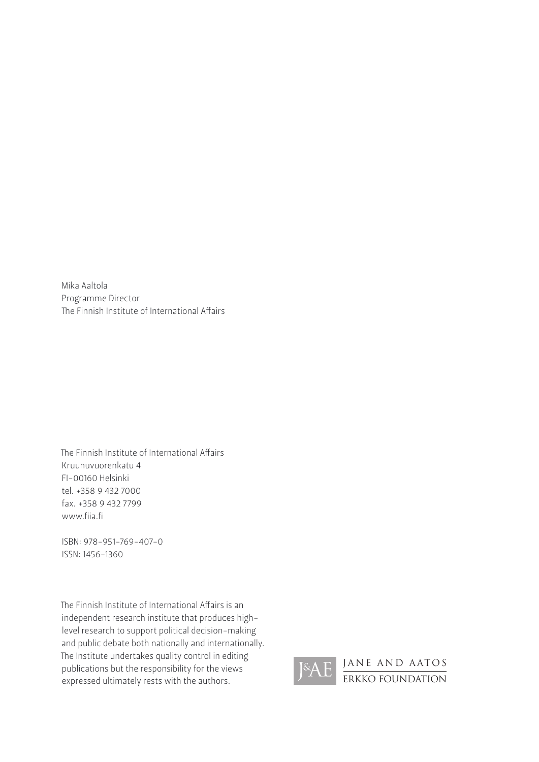Mika Aaltola Programme Director The Finnish Institute of International Affairs

The Finnish Institute of International Affairs Kruunuvuorenkatu 4 FI -00160 Helsinki tel. +358 9 432 7000 fax. +358 9 432 7799 www.fiia.fi

IS BN: 978-951-769-407-0 ISSN : 1456-1360

The Finnish Institute of International Affairs is an independent research institute that produces highlevel research to support political decision-making and public debate both nationally and internationally. The Institute undertakes quality control in editing publications but the responsibility for the views expressed ultimately rests with the authors.

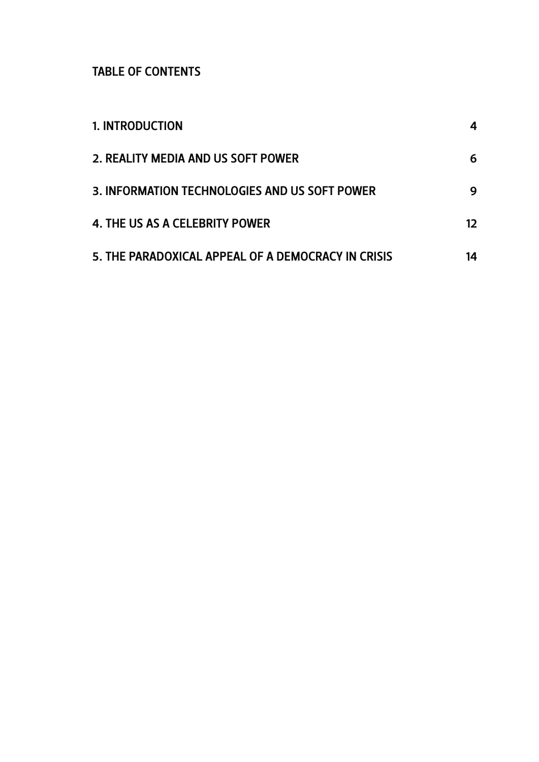TABLE OF CONTENTS

| <b>1. INTRODUCTION</b>                                                              | 4      |
|-------------------------------------------------------------------------------------|--------|
| 2. REALITY MEDIA AND US SOFT POWER<br>3. INFORMATION TECHNOLOGIES AND US SOFT POWER | 6<br>9 |
|                                                                                     |        |
| 5. THE PARADOXICAL APPEAL OF A DEMOCRACY IN CRISIS                                  | 14     |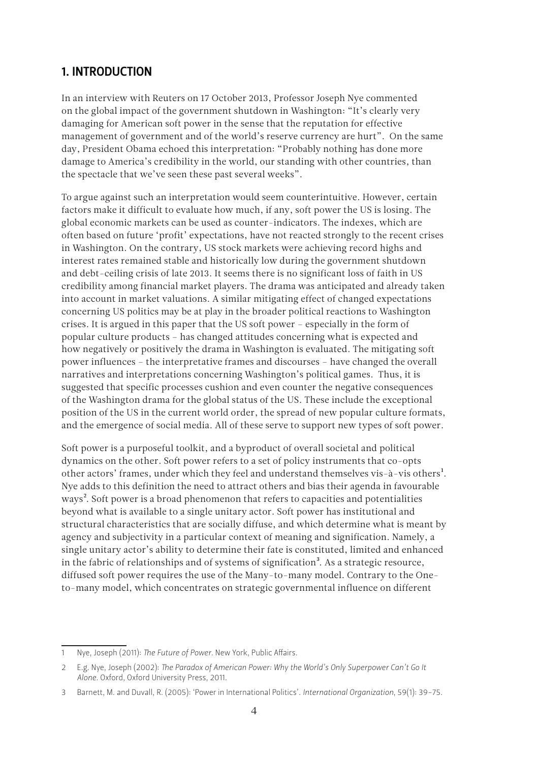#### <span id="page-3-0"></span>1. Introduction

In an interview with Reuters on 17 October 2013, Professor Joseph Nye commented on the global impact of the government shutdown in Washington: "It's clearly very damaging for American soft power in the sense that the reputation for effective management of government and of the world's reserve currency are hurt". On the same day, President Obama echoed this interpretation: "Probably nothing has done more damage to America's credibility in the world, our standing with other countries, than the spectacle that we've seen these past several weeks".

To argue against such an interpretation would seem counterintuitive. However, certain factors make it difficult to evaluate how much, if any, soft power the US is losing. The global economic markets can be used as counter-indicators. The indexes, which are often based on future 'profit' expectations, have not reacted strongly to the recent crises in Washington. On the contrary, US stock markets were achieving record highs and interest rates remained stable and historically low during the government shutdown and debt-ceiling crisis of late 2013. It seems there is no significant loss of faith in US credibility among financial market players. The drama was anticipated and already taken into account in market valuations. A similar mitigating effect of changed expectations concerning US politics may be at play in the broader political reactions to Washington crises. It is argued in this paper that the US soft power – especially in the form of popular culture products – has changed attitudes concerning what is expected and how negatively or positively the drama in Washington is evaluated. The mitigating soft power influences – the interpretative frames and discourses – have changed the overall narratives and interpretations concerning Washington's political games. Thus, it is suggested that specific processes cushion and even counter the negative consequences of the Washington drama for the global status of the US. These include the exceptional position of the US in the current world order, the spread of new popular culture formats, and the emergence of social media. All of these serve to support new types of soft power.

Soft power is a purposeful toolkit, and a byproduct of overall societal and political dynamics on the other. Soft power refers to a set of policy instruments that co-opts other actors' frames, under which they feel and understand themselves vis-à-vis others<sup>1</sup>. Nye adds to this definition the need to attract others and bias their agenda in favourable ways<sup>2</sup>. Soft power is a broad phenomenon that refers to capacities and potentialities beyond what is available to a single unitary actor. Soft power has institutional and structural characteristics that are socially diffuse, and which determine what is meant by agency and subjectivity in a particular context of meaning and signification. Namely, a single unitary actor's ability to determine their fate is constituted, limited and enhanced in the fabric of relationships and of systems of signification<sup>3</sup>. As a strategic resource, diffused soft power requires the use of the Many-to-many model. Contrary to the Oneto-many model, which concentrates on strategic governmental influence on different

<sup>1</sup> Nye, Joseph (2011): *The Future of Power.* New York, Public Affairs.

<sup>2</sup> E.g. Nye, Joseph (2002): *The Paradox of American Power: Why the World's Only Superpower Can't Go It Alone.* Oxford, Oxford University Press, 2011.

<sup>3</sup> Barnett, M. and Duvall, R. (2005): 'Power in International Politics'. *International Organization*, 59(1): 39-75.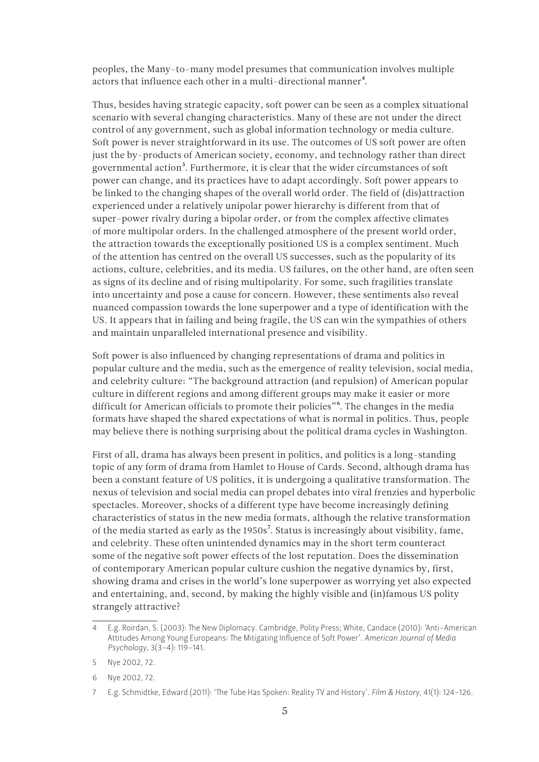peoples, the Many-to-many model presumes that communication involves multiple actors that influence each other in a multi-directional manner<sup>4</sup>.

Thus, besides having strategic capacity, soft power can be seen as a complex situational scenario with several changing characteristics. Many of these are not under the direct control of any government, such as global information technology or media culture. Soft power is never straightforward in its use. The outcomes of US soft power are often just the by-products of American society, economy, and technology rather than direct governmental action<sup>5</sup>. Furthermore, it is clear that the wider circumstances of soft power can change, and its practices have to adapt accordingly. Soft power appears to be linked to the changing shapes of the overall world order. The field of (dis)attraction experienced under a relatively unipolar power hierarchy is different from that of super-power rivalry during a bipolar order, or from the complex affective climates of more multipolar orders. In the challenged atmosphere of the present world order, the attraction towards the exceptionally positioned US is a complex sentiment. Much of the attention has centred on the overall US successes, such as the popularity of its actions, culture, celebrities, and its media. US failures, on the other hand, are often seen as signs of its decline and of rising multipolarity. For some, such fragilities translate into uncertainty and pose a cause for concern. However, these sentiments also reveal nuanced compassion towards the lone superpower and a type of identification with the US. It appears that in failing and being fragile, the US can win the sympathies of others and maintain unparalleled international presence and visibility.

Soft power is also influenced by changing representations of drama and politics in popular culture and the media, such as the emergence of reality television, social media, and celebrity culture: "The background attraction (and repulsion) of American popular culture in different regions and among different groups may make it easier or more difficult for American officials to promote their policies"<sup>6</sup>. The changes in the media formats have shaped the shared expectations of what is normal in politics. Thus, people may believe there is nothing surprising about the political drama cycles in Washington.

First of all, drama has always been present in politics, and politics is a long-standing topic of any form of drama from Hamlet to House of Cards. Second, although drama has been a constant feature of US politics, it is undergoing a qualitative transformation. The nexus of television and social media can propel debates into viral frenzies and hyperbolic spectacles. Moreover, shocks of a different type have become increasingly defining characteristics of status in the new media formats, although the relative transformation of the media started as early as the 1950s7. Status is increasingly about visibility, fame, and celebrity. These often unintended dynamics may in the short term counteract some of the negative soft power effects of the lost reputation. Does the dissemination of contemporary American popular culture cushion the negative dynamics by, first, showing drama and crises in the world's lone superpower as worrying yet also expected and entertaining, and, second, by making the highly visible and (in)famous US polity strangely attractive?

<sup>4</sup> E.g. Roirdan, S. (2003): The New Diplomacy. Cambridge, Polity Press; White, Candace (2010): 'Anti-American Attitudes Among Young Europeans: The Mitigating Influence of Soft Power'. *American Journal of Media Psychology*, 3(3-4): 119-141.

<sup>5</sup> Nye 2002, 72.

<sup>6</sup> Nye 2002, 72.

<sup>7</sup> E.g. Schmidtke, Edward (2011): 'The Tube Has Spoken: Reality TV and History'. *Film & History*, 41(1): 124-126.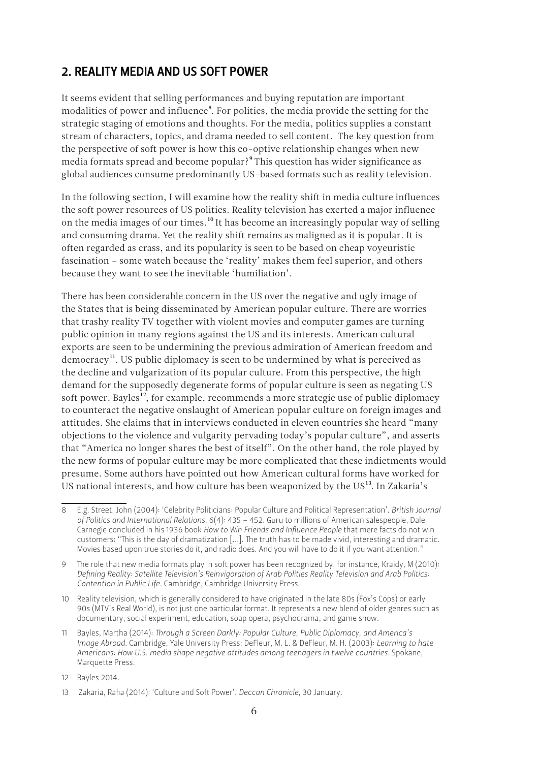#### <span id="page-5-0"></span>2. Reality media and US soft power

It seems evident that selling performances and buying reputation are important modalities of power and influence<sup>8</sup>. For politics, the media provide the setting for the strategic staging of emotions and thoughts. For the media, politics supplies a constant stream of characters, topics, and drama needed to sell content. The key question from the perspective of soft power is how this co-optive relationship changes when new media formats spread and become popular?9 This question has wider significance as global audiences consume predominantly US-based formats such as reality television.

In the following section, I will examine how the reality shift in media culture influences the soft power resources of US politics. Reality television has exerted a major influence on the media images of our times.<sup>10</sup> It has become an increasingly popular way of selling and consuming drama. Yet the reality shift remains as maligned as it is popular. It is often regarded as crass, and its popularity is seen to be based on cheap voyeuristic fascination – some watch because the 'reality' makes them feel superior, and others because they want to see the inevitable 'humiliation'.

There has been considerable concern in the US over the negative and ugly image of the States that is being disseminated by American popular culture. There are worries that trashy reality TV together with violent movies and computer games are turning public opinion in many regions against the US and its interests. American cultural exports are seen to be undermining the previous admiration of American freedom and democracy<sup>11</sup>. US public diplomacy is seen to be undermined by what is perceived as the decline and vulgarization of its popular culture. From this perspective, the high demand for the supposedly degenerate forms of popular culture is seen as negating US soft power. Bayles<sup>12</sup>, for example, recommends a more strategic use of public diplomacy to counteract the negative onslaught of American popular culture on foreign images and attitudes. She claims that in interviews conducted in eleven countries she heard "many objections to the violence and vulgarity pervading today's popular culture", and asserts that "America no longer shares the best of itself". On the other hand, the role played by the new forms of popular culture may be more complicated that these indictments would presume. Some authors have pointed out how American cultural forms have worked for US national interests, and how culture has been weaponized by the  $US<sup>13</sup>$ . In Zakaria's

<sup>8</sup> E.g. Street, John (2004): 'Celebrity Politicians: Popular Culture and Political Representation'. *British Journal of Politics and International Relations*, 6(4): 435 – 452. Guru to millions of American salespeople, Dale Carnegie concluded in his 1936 book *How to Win Friends and Influence People* that mere facts do not win customers: "This is the day of dramatization [...]. The truth has to be made vivid, interesting and dramatic. Movies based upon true stories do it, and radio does. And you will have to do it if you want attention."

<sup>9</sup> The role that new media formats play in soft power has been recognized by, for instance, Kraidy, M (2010): *Defining Reality: Satellite Television's Reinvigoration of Arab Polities Reality Television and Arab Politics: Contention in Public Life.* Cambridge, Cambridge University Press.

<sup>10</sup> Reality television, which is generally considered to have originated in the late 80s (Fox's Cops) or early 90s (MTV's Real World), is not just one particular format. It represents a new blend of older genres such as documentary, social experiment, education, soap opera, psychodrama, and game show.

<sup>11</sup> Bayles, Martha (2014): *Through a Screen Darkly: Popular Culture, Public Diplomacy, and America's Image Abroad.* Cambridge, Yale University Press; DeFleur, M. L. & DeFleur, M. H. (2003): *Learning to hate Americans: How U.S. media shape negative attitudes among teenagers in twelve countries.* Spokane, Marquette Press.

<sup>12</sup> Bayles 2014.

<sup>13</sup> Zakaria, Rafia (2014): 'Culture and Soft Power'. *Deccan Chronicle*, 30 January.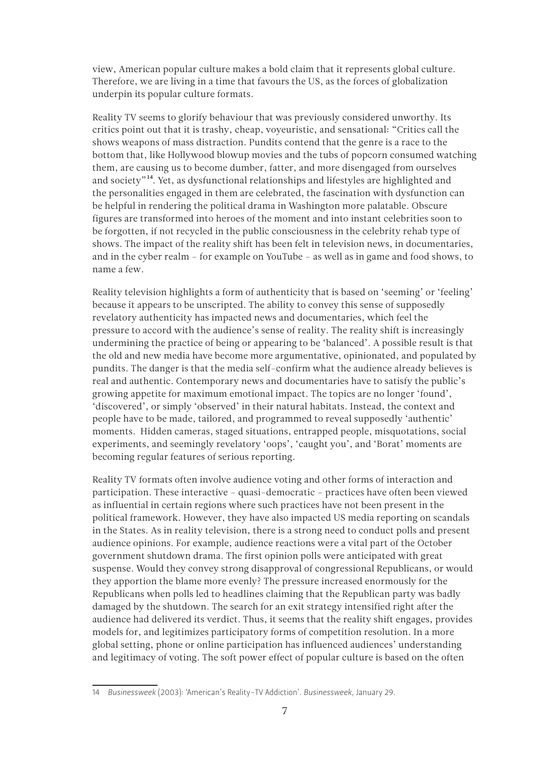view, American popular culture makes a bold claim that it represents global culture. Therefore, we are living in a time that favours the US, as the forces of globalization underpin its popular culture formats.

Reality TV seems to glorify behaviour that was previously considered unworthy. Its critics point out that it is trashy, cheap, voyeuristic, and sensational: "Critics call the shows weapons of mass distraction. Pundits contend that the genre is a race to the bottom that, like Hollywood blowup movies and the tubs of popcorn consumed watching them, are causing us to become dumber, fatter, and more disengaged from ourselves and society"14. Yet, as dysfunctional relationships and lifestyles are highlighted and the personalities engaged in them are celebrated, the fascination with dysfunction can be helpful in rendering the political drama in Washington more palatable. Obscure figures are transformed into heroes of the moment and into instant celebrities soon to be forgotten, if not recycled in the public consciousness in the celebrity rehab type of shows. The impact of the reality shift has been felt in television news, in documentaries, and in the cyber realm – for example on YouTube – as well as in game and food shows, to name a few.

Reality television highlights a form of authenticity that is based on 'seeming' or 'feeling' because it appears to be unscripted. The ability to convey this sense of supposedly revelatory authenticity has impacted news and documentaries, which feel the pressure to accord with the audience's sense of reality. The reality shift is increasingly undermining the practice of being or appearing to be 'balanced'. A possible result is that the old and new media have become more argumentative, opinionated, and populated by pundits. The danger is that the media self-confirm what the audience already believes is real and authentic. Contemporary news and documentaries have to satisfy the public's growing appetite for maximum emotional impact. The topics are no longer 'found', 'discovered', or simply 'observed' in their natural habitats. Instead, the context and people have to be made, tailored, and programmed to reveal supposedly 'authentic' moments. Hidden cameras, staged situations, entrapped people, misquotations, social experiments, and seemingly revelatory 'oops', 'caught you', and 'Borat' moments are becoming regular features of serious reporting.

Reality TV formats often involve audience voting and other forms of interaction and participation. These interactive – quasi-democratic – practices have often been viewed as influential in certain regions where such practices have not been present in the political framework. However, they have also impacted US media reporting on scandals in the States. As in reality television, there is a strong need to conduct polls and present audience opinions. For example, audience reactions were a vital part of the October government shutdown drama. The first opinion polls were anticipated with great suspense. Would they convey strong disapproval of congressional Republicans, or would they apportion the blame more evenly? The pressure increased enormously for the Republicans when polls led to headlines claiming that the Republican party was badly damaged by the shutdown. The search for an exit strategy intensified right after the audience had delivered its verdict. Thus, it seems that the reality shift engages, provides models for, and legitimizes participatory forms of competition resolution. In a more global setting, phone or online participation has influenced audiences' understanding and legitimacy of voting. The soft power effect of popular culture is based on the often

<sup>14</sup> *Businessweek* (2003): 'American's Reality-TV Addiction'. *Businessweek*, January 29.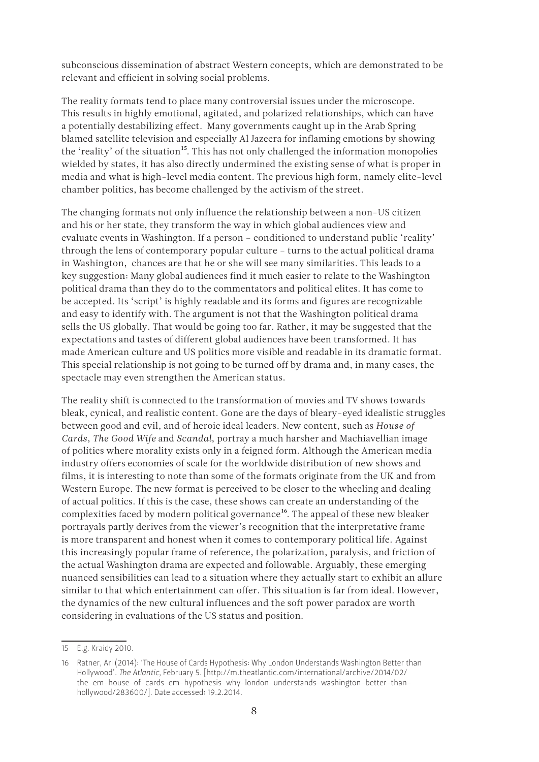subconscious dissemination of abstract Western concepts, which are demonstrated to be relevant and efficient in solving social problems.

The reality formats tend to place many controversial issues under the microscope. This results in highly emotional, agitated, and polarized relationships, which can have a potentially destabilizing effect. Many governments caught up in the Arab Spring blamed satellite television and especially Al Jazeera for inflaming emotions by showing the 'reality' of the situation<sup>15</sup>. This has not only challenged the information monopolies wielded by states, it has also directly undermined the existing sense of what is proper in media and what is high-level media content. The previous high form, namely elite-level chamber politics, has become challenged by the activism of the street.

The changing formats not only influence the relationship between a non-US citizen and his or her state, they transform the way in which global audiences view and evaluate events in Washington. If a person – conditioned to understand public 'reality' through the lens of contemporary popular culture – turns to the actual political drama in Washington, chances are that he or she will see many similarities. This leads to a key suggestion: Many global audiences find it much easier to relate to the Washington political drama than they do to the commentators and political elites. It has come to be accepted. Its 'script' is highly readable and its forms and figures are recognizable and easy to identify with. The argument is not that the Washington political drama sells the US globally. That would be going too far. Rather, it may be suggested that the expectations and tastes of different global audiences have been transformed. It has made American culture and US politics more visible and readable in its dramatic format. This special relationship is not going to be turned off by drama and, in many cases, the spectacle may even strengthen the American status.

The reality shift is connected to the transformation of movies and TV shows towards bleak, cynical, and realistic content. Gone are the days of bleary-eyed idealistic struggles between good and evil, and of heroic ideal leaders. New content, such as *House of Cards*, *The Good Wife* and *Scandal*, portray a much harsher and Machiavellian image of politics where morality exists only in a feigned form. Although the American media industry offers economies of scale for the worldwide distribution of new shows and films, it is interesting to note than some of the formats originate from the UK and from Western Europe. The new format is perceived to be closer to the wheeling and dealing of actual politics. If this is the case, these shows can create an understanding of the complexities faced by modern political governance<sup>16</sup>. The appeal of these new bleaker portrayals partly derives from the viewer's recognition that the interpretative frame is more transparent and honest when it comes to contemporary political life. Against this increasingly popular frame of reference, the polarization, paralysis, and friction of the actual Washington drama are expected and followable. Arguably, these emerging nuanced sensibilities can lead to a situation where they actually start to exhibit an allure similar to that which entertainment can offer. This situation is far from ideal. However, the dynamics of the new cultural influences and the soft power paradox are worth considering in evaluations of the US status and position.

<sup>15</sup> E.g. Kraidy 2010.

<sup>16</sup> Ratner, Ari (2014): 'The House of Cards Hypothesis: Why London Understands Washington Better than Hollywood'. *The Atlantic*, February 5. [\[http://m.theatlantic.com/international/archive/2014/02/](http://m.theatlantic.com/international/archive/2014/02/the-em-house-of-cards-em-hypothesis-why-london-understands-washington-better-than-hollywood/283600/) [the-em-house-of-cards-em-hypothesis-why-london-understands-washington-better-than](http://m.theatlantic.com/international/archive/2014/02/the-em-house-of-cards-em-hypothesis-why-london-understands-washington-better-than-hollywood/283600/)[hollywood/283600/\]](http://m.theatlantic.com/international/archive/2014/02/the-em-house-of-cards-em-hypothesis-why-london-understands-washington-better-than-hollywood/283600/). Date accessed: 19.2.2014.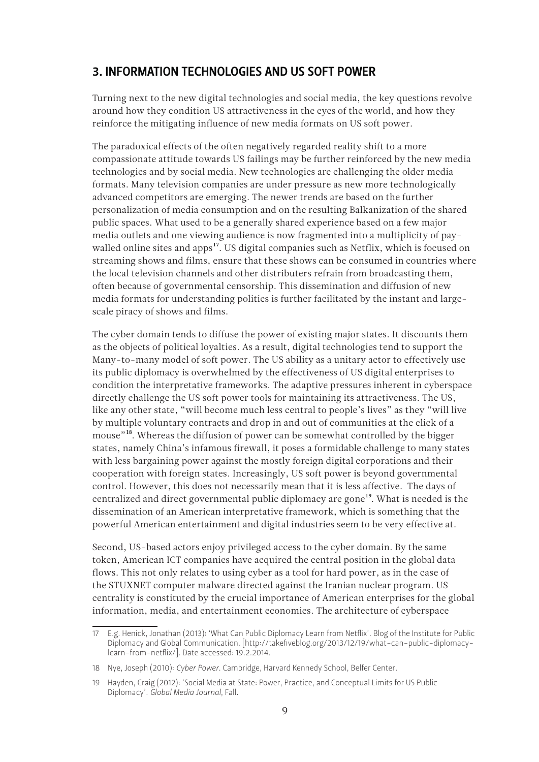#### <span id="page-8-0"></span>3. Information technologies and US soft power

Turning next to the new digital technologies and social media, the key questions revolve around how they condition US attractiveness in the eyes of the world, and how they reinforce the mitigating influence of new media formats on US soft power.

The paradoxical effects of the often negatively regarded reality shift to a more compassionate attitude towards US failings may be further reinforced by the new media technologies and by social media. New technologies are challenging the older media formats. Many television companies are under pressure as new more technologically advanced competitors are emerging. The newer trends are based on the further personalization of media consumption and on the resulting Balkanization of the shared public spaces. What used to be a generally shared experience based on a few major media outlets and one viewing audience is now fragmented into a multiplicity of paywalled online sites and apps<sup>17</sup>. US digital companies such as Netflix, which is focused on streaming shows and films, ensure that these shows can be consumed in countries where the local television channels and other distributers refrain from broadcasting them, often because of governmental censorship. This dissemination and diffusion of new media formats for understanding politics is further facilitated by the instant and largescale piracy of shows and films.

The cyber domain tends to diffuse the power of existing major states. It discounts them as the objects of political loyalties. As a result, digital technologies tend to support the Many-to-many model of soft power. The US ability as a unitary actor to effectively use its public diplomacy is overwhelmed by the effectiveness of US digital enterprises to condition the interpretative frameworks. The adaptive pressures inherent in cyberspace directly challenge the US soft power tools for maintaining its attractiveness. The US, like any other state, "will become much less central to people's lives" as they "will live by multiple voluntary contracts and drop in and out of communities at the click of a mouse"<sup>18</sup>. Whereas the diffusion of power can be somewhat controlled by the bigger states, namely China's infamous firewall, it poses a formidable challenge to many states with less bargaining power against the mostly foreign digital corporations and their cooperation with foreign states. Increasingly, US soft power is beyond governmental control. However, this does not necessarily mean that it is less affective. The days of centralized and direct governmental public diplomacy are gone<sup>19</sup>. What is needed is the dissemination of an American interpretative framework, which is something that the powerful American entertainment and digital industries seem to be very effective at.

Second, US-based actors enjoy privileged access to the cyber domain. By the same token, American ICT companies have acquired the central position in the global data flows. This not only relates to using cyber as a tool for hard power, as in the case of the STUXNET computer malware directed against the Iranian nuclear program. US centrality is constituted by the crucial importance of American enterprises for the global information, media, and entertainment economies. The architecture of cyberspace

<sup>17</sup> E.g. Henick, Jonathan (2013): 'What Can Public Diplomacy Learn from Netflix'. Blog of the Institute for Public Diplomacy and Global Communication. [[http://takefiveblog.org/2013/12/19/what-can-public-diplomacy](http://takefiveblog.org/2013/12/19/what-can-public-diplomacy-learn-from-netflix/)[learn-from-netflix/](http://takefiveblog.org/2013/12/19/what-can-public-diplomacy-learn-from-netflix/)]. Date accessed: 19.2.2014.

<sup>18</sup> Nye, Joseph (2010): *Cyber Power*. Cambridge, Harvard Kennedy School, Belfer Center.

<sup>19</sup> Hayden, Craig (2012): 'Social Media at State: Power, Practice, and Conceptual Limits for US Public Diplomacy'. *Global Media Journal*, Fall.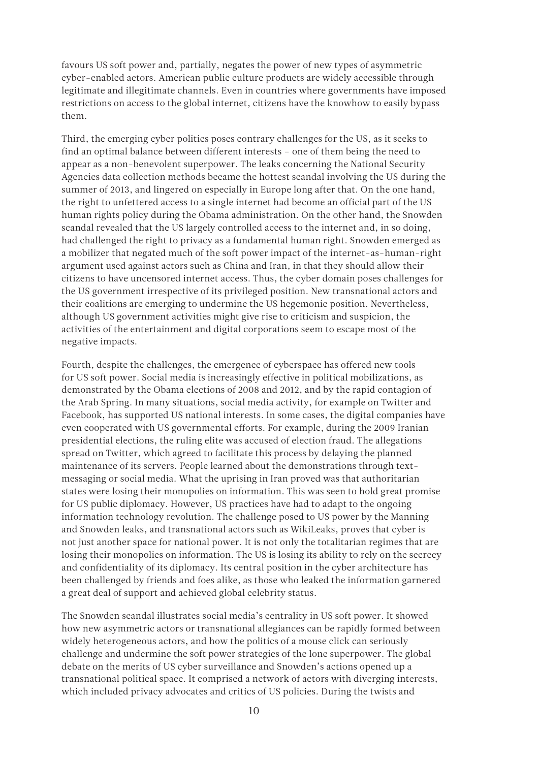favours US soft power and, partially, negates the power of new types of asymmetric cyber-enabled actors. American public culture products are widely accessible through legitimate and illegitimate channels. Even in countries where governments have imposed restrictions on access to the global internet, citizens have the knowhow to easily bypass them.

Third, the emerging cyber politics poses contrary challenges for the US, as it seeks to find an optimal balance between different interests – one of them being the need to appear as a non-benevolent superpower. The leaks concerning the National Security Agencies data collection methods became the hottest scandal involving the US during the summer of 2013, and lingered on especially in Europe long after that. On the one hand, the right to unfettered access to a single internet had become an official part of the US human rights policy during the Obama administration. On the other hand, the Snowden scandal revealed that the US largely controlled access to the internet and, in so doing, had challenged the right to privacy as a fundamental human right. Snowden emerged as a mobilizer that negated much of the soft power impact of the internet-as-human-right argument used against actors such as China and Iran, in that they should allow their citizens to have uncensored internet access. Thus, the cyber domain poses challenges for the US government irrespective of its privileged position. New transnational actors and their coalitions are emerging to undermine the US hegemonic position. Nevertheless, although US government activities might give rise to criticism and suspicion, the activities of the entertainment and digital corporations seem to escape most of the negative impacts.

Fourth, despite the challenges, the emergence of cyberspace has offered new tools for US soft power. Social media is increasingly effective in political mobilizations, as demonstrated by the Obama elections of 2008 and 2012, and by the rapid contagion of the Arab Spring. In many situations, social media activity, for example on Twitter and Facebook, has supported US national interests. In some cases, the digital companies have even cooperated with US governmental efforts. For example, during the 2009 Iranian presidential elections, the ruling elite was accused of election fraud. The allegations spread on Twitter, which agreed to facilitate this process by delaying the planned maintenance of its servers. People learned about the demonstrations through textmessaging or social media. What the uprising in Iran proved was that authoritarian states were losing their monopolies on information. This was seen to hold great promise for US public diplomacy. However, US practices have had to adapt to the ongoing information technology revolution. The challenge posed to US power by the Manning and Snowden leaks, and transnational actors such as WikiLeaks, proves that cyber is not just another space for national power. It is not only the totalitarian regimes that are losing their monopolies on information. The US is losing its ability to rely on the secrecy and confidentiality of its diplomacy. Its central position in the cyber architecture has been challenged by friends and foes alike, as those who leaked the information garnered a great deal of support and achieved global celebrity status.

The Snowden scandal illustrates social media's centrality in US soft power. It showed how new asymmetric actors or transnational allegiances can be rapidly formed between widely heterogeneous actors, and how the politics of a mouse click can seriously challenge and undermine the soft power strategies of the lone superpower. The global debate on the merits of US cyber surveillance and Snowden's actions opened up a transnational political space. It comprised a network of actors with diverging interests, which included privacy advocates and critics of US policies. During the twists and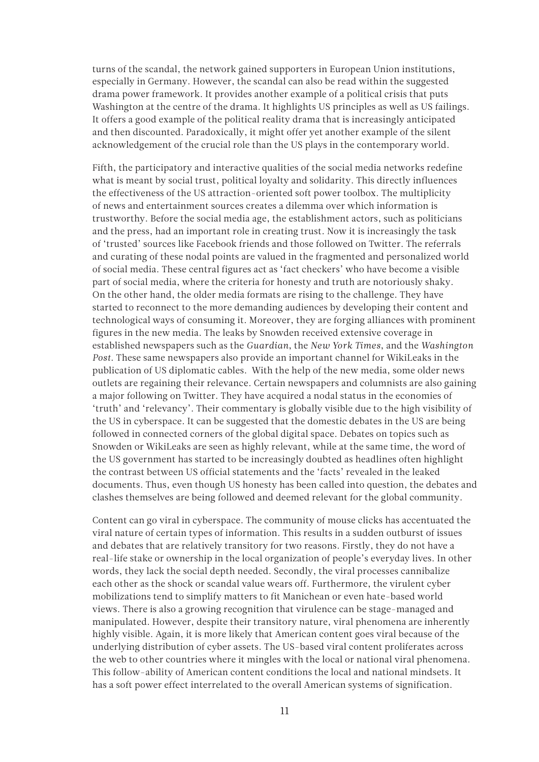turns of the scandal, the network gained supporters in European Union institutions, especially in Germany. However, the scandal can also be read within the suggested drama power framework. It provides another example of a political crisis that puts Washington at the centre of the drama. It highlights US principles as well as US failings. It offers a good example of the political reality drama that is increasingly anticipated and then discounted. Paradoxically, it might offer yet another example of the silent acknowledgement of the crucial role than the US plays in the contemporary world.

Fifth, the participatory and interactive qualities of the social media networks redefine what is meant by social trust, political loyalty and solidarity. This directly influences the effectiveness of the US attraction-oriented soft power toolbox. The multiplicity of news and entertainment sources creates a dilemma over which information is trustworthy. Before the social media age, the establishment actors, such as politicians and the press, had an important role in creating trust. Now it is increasingly the task of 'trusted' sources like Facebook friends and those followed on Twitter. The referrals and curating of these nodal points are valued in the fragmented and personalized world of social media. These central figures act as 'fact checkers' who have become a visible part of social media, where the criteria for honesty and truth are notoriously shaky. On the other hand, the older media formats are rising to the challenge. They have started to reconnect to the more demanding audiences by developing their content and technological ways of consuming it. Moreover, they are forging alliances with prominent figures in the new media. The leaks by Snowden received extensive coverage in established newspapers such as the *Guardian*, the *New York Times*, and the *Washington Post*. These same newspapers also provide an important channel for WikiLeaks in the publication of US diplomatic cables. With the help of the new media, some older news outlets are regaining their relevance. Certain newspapers and columnists are also gaining a major following on Twitter. They have acquired a nodal status in the economies of 'truth' and 'relevancy'. Their commentary is globally visible due to the high visibility of the US in cyberspace. It can be suggested that the domestic debates in the US are being followed in connected corners of the global digital space. Debates on topics such as Snowden or WikiLeaks are seen as highly relevant, while at the same time, the word of the US government has started to be increasingly doubted as headlines often highlight the contrast between US official statements and the 'facts' revealed in the leaked documents. Thus, even though US honesty has been called into question, the debates and clashes themselves are being followed and deemed relevant for the global community.

Content can go viral in cyberspace. The community of mouse clicks has accentuated the viral nature of certain types of information. This results in a sudden outburst of issues and debates that are relatively transitory for two reasons. Firstly, they do not have a real-life stake or ownership in the local organization of people's everyday lives. In other words, they lack the social depth needed. Secondly, the viral processes cannibalize each other as the shock or scandal value wears off. Furthermore, the virulent cyber mobilizations tend to simplify matters to fit Manichean or even hate-based world views. There is also a growing recognition that virulence can be stage-managed and manipulated. However, despite their transitory nature, viral phenomena are inherently highly visible. Again, it is more likely that American content goes viral because of the underlying distribution of cyber assets. The US-based viral content proliferates across the web to other countries where it mingles with the local or national viral phenomena. This follow-ability of American content conditions the local and national mindsets. It has a soft power effect interrelated to the overall American systems of signification.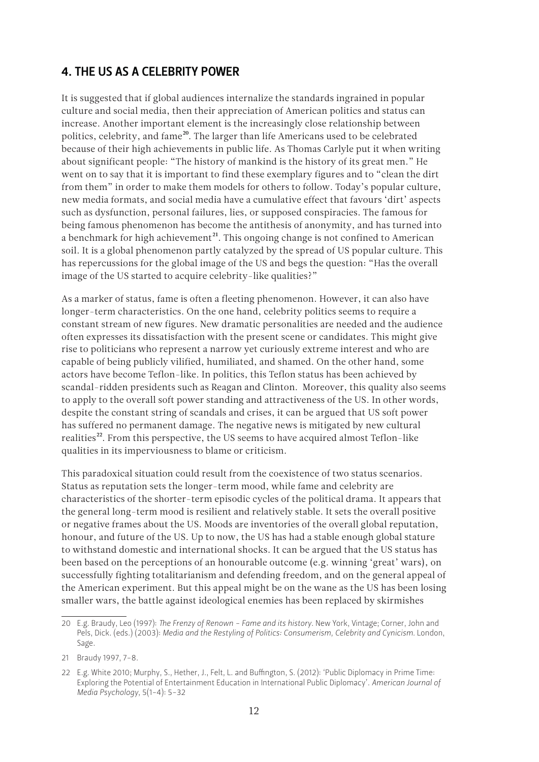#### 4. The US as a celebrity power

It is suggested that if global audiences internalize the standards ingrained in popular culture and social media, then their appreciation of American politics and status can increase. Another important element is the increasingly close relationship between politics, celebrity, and fame<sup>20</sup>. The larger than life Americans used to be celebrated because of their high achievements in public life. As Thomas Carlyle put it when writing about significant people: "The history of mankind is the history of its great men." He went on to say that it is important to find these exemplary figures and to "clean the dirt from them" in order to make them models for others to follow. Today's popular culture, new media formats, and social media have a cumulative effect that favours 'dirt' aspects such as dysfunction, personal failures, lies, or supposed conspiracies. The famous for being famous phenomenon has become the antithesis of anonymity, and has turned into a benchmark for high achievement<sup>21</sup>. This ongoing change is not confined to American soil. It is a global phenomenon partly catalyzed by the spread of US popular culture. This has repercussions for the global image of the US and begs the question: "Has the overall image of the US started to acquire celebrity-like qualities?"

As a marker of status, fame is often a fleeting phenomenon. However, it can also have longer-term characteristics. On the one hand, celebrity politics seems to require a constant stream of new figures. New dramatic personalities are needed and the audience often expresses its dissatisfaction with the present scene or candidates. This might give rise to politicians who represent a narrow yet curiously extreme interest and who are capable of being publicly vilified, humiliated, and shamed. On the other hand, some actors have become Teflon-like. In politics, this Teflon status has been achieved by scandal-ridden presidents such as Reagan and Clinton. Moreover, this quality also seems to apply to the overall soft power standing and attractiveness of the US. In other words, despite the constant string of scandals and crises, it can be argued that US soft power has suffered no permanent damage. The negative news is mitigated by new cultural realities<sup>22</sup>. From this perspective, the US seems to have acquired almost Teflon-like qualities in its imperviousness to blame or criticism.

This paradoxical situation could result from the coexistence of two status scenarios. Status as reputation sets the longer-term mood, while fame and celebrity are characteristics of the shorter-term episodic cycles of the political drama. It appears that the general long-term mood is resilient and relatively stable. It sets the overall positive or negative frames about the US. Moods are inventories of the overall global reputation, honour, and future of the US. Up to now, the US has had a stable enough global stature to withstand domestic and international shocks. It can be argued that the US status has been based on the perceptions of an honourable outcome (e.g. winning 'great' wars), on successfully fighting totalitarianism and defending freedom, and on the general appeal of the American experiment. But this appeal might be on the wane as the US has been losing smaller wars, the battle against ideological enemies has been replaced by skirmishes

<sup>20</sup> E.g. Braudy, Leo (1997): *The Frenzy of Renown - Fame and its history*. New York, Vintage; Corner, John and Pels, Dick. (eds.) (2003): *Media and the Restyling of Politics: Consumerism, Celebrity and Cynicism.* London, Sage.

<sup>21</sup> Braudy 1997, 7-8.

<sup>22</sup> E.g. White 2010; Murphy, S., Hether, J., Felt, L. and Buffington, S. (2012): 'Public Diplomacy in Prime Time: Exploring the Potential of Entertainment Education in International Public Diplomacy'. *American Journal of Media Psychology*, 5(1-4): 5-32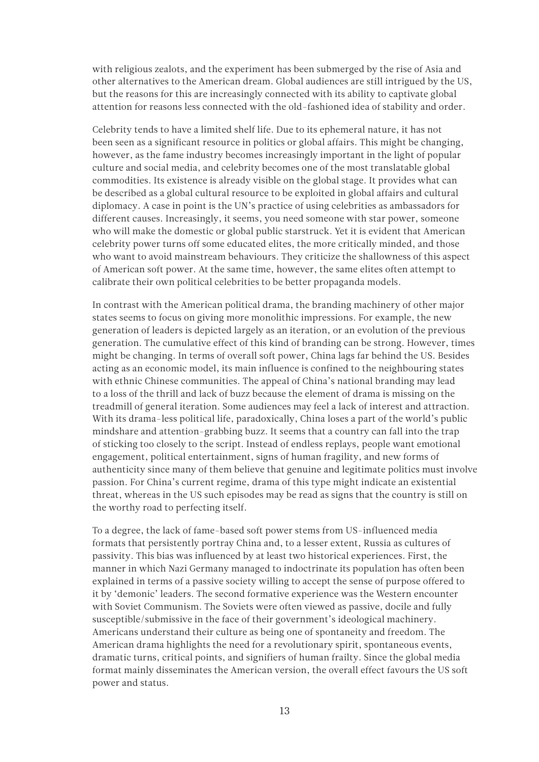with religious zealots, and the experiment has been submerged by the rise of Asia and other alternatives to the American dream. Global audiences are still intrigued by the US, but the reasons for this are increasingly connected with its ability to captivate global attention for reasons less connected with the old-fashioned idea of stability and order.

Celebrity tends to have a limited shelf life. Due to its ephemeral nature, it has not been seen as a significant resource in politics or global affairs. This might be changing, however, as the fame industry becomes increasingly important in the light of popular culture and social media, and celebrity becomes one of the most translatable global commodities. Its existence is already visible on the global stage. It provides what can be described as a global cultural resource to be exploited in global affairs and cultural diplomacy. A case in point is the UN's practice of using celebrities as ambassadors for different causes. Increasingly, it seems, you need someone with star power, someone who will make the domestic or global public starstruck. Yet it is evident that American celebrity power turns off some educated elites, the more critically minded, and those who want to avoid mainstream behaviours. They criticize the shallowness of this aspect of American soft power. At the same time, however, the same elites often attempt to calibrate their own political celebrities to be better propaganda models.

In contrast with the American political drama, the branding machinery of other major states seems to focus on giving more monolithic impressions. For example, the new generation of leaders is depicted largely as an iteration, or an evolution of the previous generation. The cumulative effect of this kind of branding can be strong. However, times might be changing. In terms of overall soft power, China lags far behind the US. Besides acting as an economic model, its main influence is confined to the neighbouring states with ethnic Chinese communities. The appeal of China's national branding may lead to a loss of the thrill and lack of buzz because the element of drama is missing on the treadmill of general iteration. Some audiences may feel a lack of interest and attraction. With its drama-less political life, paradoxically, China loses a part of the world's public mindshare and attention-grabbing buzz. It seems that a country can fall into the trap of sticking too closely to the script. Instead of endless replays, people want emotional engagement, political entertainment, signs of human fragility, and new forms of authenticity since many of them believe that genuine and legitimate politics must involve passion. For China's current regime, drama of this type might indicate an existential threat, whereas in the US such episodes may be read as signs that the country is still on the worthy road to perfecting itself.

To a degree, the lack of fame-based soft power stems from US-influenced media formats that persistently portray China and, to a lesser extent, Russia as cultures of passivity. This bias was influenced by at least two historical experiences. First, the manner in which Nazi Germany managed to indoctrinate its population has often been explained in terms of a passive society willing to accept the sense of purpose offered to it by 'demonic' leaders. The second formative experience was the Western encounter with Soviet Communism. The Soviets were often viewed as passive, docile and fully susceptible/submissive in the face of their government's ideological machinery. Americans understand their culture as being one of spontaneity and freedom. The American drama highlights the need for a revolutionary spirit, spontaneous events, dramatic turns, critical points, and signifiers of human frailty. Since the global media format mainly disseminates the American version, the overall effect favours the US soft power and status.